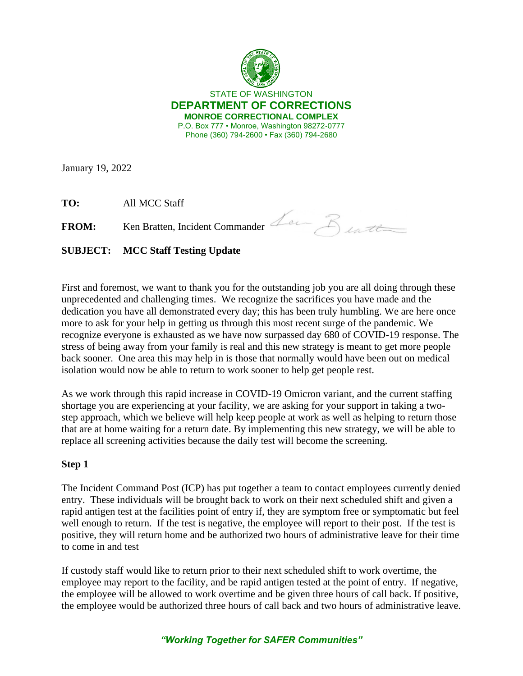

STATE OF WASHINGTON **DEPARTMENT OF CORRECTIONS MONROE CORRECTIONAL COMPLEX** P.O. Box 777 • Monroe, Washington 98272-0777 Phone (360) 794-2600 • Fax (360) 794-2680

January 19, 2022

**TO:** All MCC Staff

FROM: Ken Bratten, Incident Commander Lee Butt

**SUBJECT: MCC Staff Testing Update**

First and foremost, we want to thank you for the outstanding job you are all doing through these unprecedented and challenging times. We recognize the sacrifices you have made and the dedication you have all demonstrated every day; this has been truly humbling. We are here once more to ask for your help in getting us through this most recent surge of the pandemic. We recognize everyone is exhausted as we have now surpassed day 680 of COVID-19 response. The stress of being away from your family is real and this new strategy is meant to get more people back sooner. One area this may help in is those that normally would have been out on medical isolation would now be able to return to work sooner to help get people rest.

As we work through this rapid increase in COVID-19 Omicron variant, and the current staffing shortage you are experiencing at your facility, we are asking for your support in taking a twostep approach, which we believe will help keep people at work as well as helping to return those that are at home waiting for a return date. By implementing this new strategy, we will be able to replace all screening activities because the daily test will become the screening.

## **Step 1**

The Incident Command Post (ICP) has put together a team to contact employees currently denied entry. These individuals will be brought back to work on their next scheduled shift and given a rapid antigen test at the facilities point of entry if, they are symptom free or symptomatic but feel well enough to return. If the test is negative, the employee will report to their post. If the test is positive, they will return home and be authorized two hours of administrative leave for their time to come in and test

If custody staff would like to return prior to their next scheduled shift to work overtime, the employee may report to the facility, and be rapid antigen tested at the point of entry. If negative, the employee will be allowed to work overtime and be given three hours of call back. If positive, the employee would be authorized three hours of call back and two hours of administrative leave.